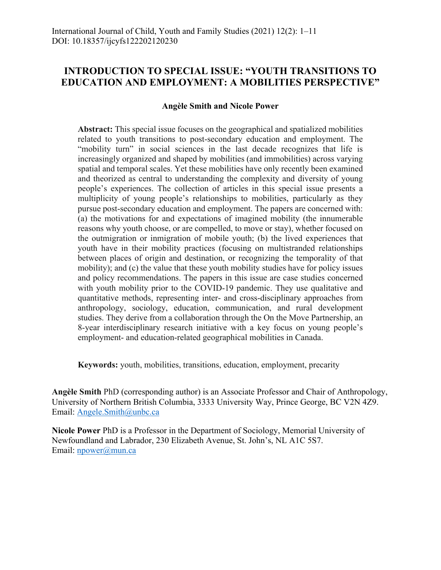## **INTRODUCTION TO SPECIAL ISSUE: "YOUTH TRANSITIONS TO EDUCATION AND EMPLOYMENT: A MOBILITIES PERSPECTIVE"**

## **Angèle Smith and Nicole Power**

**Abstract:** This special issue focuses on the geographical and spatialized mobilities related to youth transitions to post-secondary education and employment. The "mobility turn" in social sciences in the last decade recognizes that life is increasingly organized and shaped by mobilities (and immobilities) across varying spatial and temporal scales. Yet these mobilities have only recently been examined and theorized as central to understanding the complexity and diversity of young people's experiences. The collection of articles in this special issue presents a multiplicity of young people's relationships to mobilities, particularly as they pursue post-secondary education and employment. The papers are concerned with: (a) the motivations for and expectations of imagined mobility (the innumerable reasons why youth choose, or are compelled, to move or stay), whether focused on the outmigration or inmigration of mobile youth; (b) the lived experiences that youth have in their mobility practices (focusing on multistranded relationships between places of origin and destination, or recognizing the temporality of that mobility); and (c) the value that these youth mobility studies have for policy issues and policy recommendations. The papers in this issue are case studies concerned with youth mobility prior to the COVID-19 pandemic. They use qualitative and quantitative methods, representing inter- and cross-disciplinary approaches from anthropology, sociology, education, communication, and rural development studies. They derive from a collaboration through the On the Move Partnership, an 8-year interdisciplinary research initiative with a key focus on young people's employment- and education-related geographical mobilities in Canada.

**Keywords:** youth, mobilities, transitions, education, employment, precarity

**Angèle Smith** PhD (corresponding author) is an Associate Professor and Chair of Anthropology, University of Northern British Columbia, 3333 University Way, Prince George, BC V2N 4Z9. Email: Angele.Smith@unbc.ca

**Nicole Power** PhD is a Professor in the Department of Sociology, Memorial University of Newfoundland and Labrador, 230 Elizabeth Avenue, St. John's, NL A1C 5S7. Email: npower@mun.ca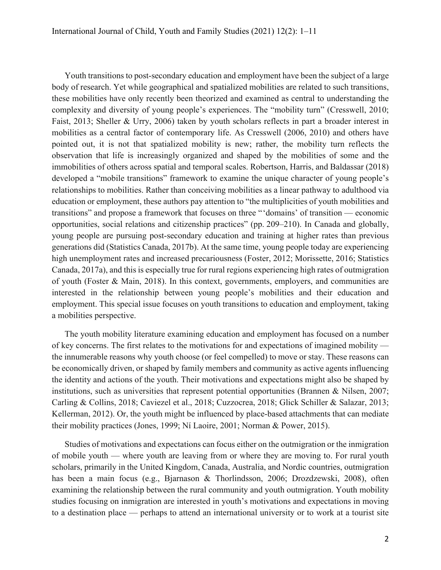Youth transitions to post-secondary education and employment have been the subject of a large body of research. Yet while geographical and spatialized mobilities are related to such transitions, these mobilities have only recently been theorized and examined as central to understanding the complexity and diversity of young people's experiences. The "mobility turn" (Cresswell, 2010; Faist, 2013; Sheller & Urry, 2006) taken by youth scholars reflects in part a broader interest in mobilities as a central factor of contemporary life. As Cresswell (2006, 2010) and others have pointed out, it is not that spatialized mobility is new; rather, the mobility turn reflects the observation that life is increasingly organized and shaped by the mobilities of some and the immobilities of others across spatial and temporal scales. Robertson, Harris, and Baldassar (2018) developed a "mobile transitions" framework to examine the unique character of young people's relationships to mobilities. Rather than conceiving mobilities as a linear pathway to adulthood via education or employment, these authors pay attention to "the multiplicities of youth mobilities and transitions" and propose a framework that focuses on three " 'domains' of transition — economic opportunities, social relations and citizenship practices" (pp. 209–210). In Canada and globally, young people are pursuing post-secondary education and training at higher rates than previous generations did (Statistics Canada, 2017b). At the same time, young people today are experiencing high unemployment rates and increased precariousness (Foster, 2012; Morissette, 2016; Statistics Canada, 2017a), and this is especially true for rural regions experiencing high rates of outmigration of youth (Foster & Main, 2018). In this context, governments, employers, and communities are interested in the relationship between young people's mobilities and their education and employment. This special issue focuses on youth transitions to education and employment, taking a mobilities perspective.

The youth mobility literature examining education and employment has focused on a number of key concerns. The first relates to the motivations for and expectations of imagined mobility the innumerable reasons why youth choose (or feel compelled) to move or stay. These reasons can be economically driven, or shaped by family members and community as active agents influencing the identity and actions of the youth. Their motivations and expectations might also be shaped by institutions, such as universities that represent potential opportunities (Brannen & Nilsen, 2007; Carling & Collins, 2018; Caviezel et al., 2018; Cuzzocrea, 2018; Glick Schiller & Salazar, 2013; Kellerman, 2012). Or, the youth might be influenced by place-based attachments that can mediate their mobility practices (Jones, 1999; Ní Laoire, 2001; Norman & Power, 2015).

Studies of motivations and expectations can focus either on the outmigration or the inmigration of mobile youth — where youth are leaving from or where they are moving to. For rural youth scholars, primarily in the United Kingdom, Canada, Australia, and Nordic countries, outmigration has been a main focus (e.g., Bjarnason & Thorlindsson, 2006; Drozdzewski, 2008), often examining the relationship between the rural community and youth outmigration. Youth mobility studies focusing on inmigration are interested in youth's motivations and expectations in moving to a destination place — perhaps to attend an international university or to work at a tourist site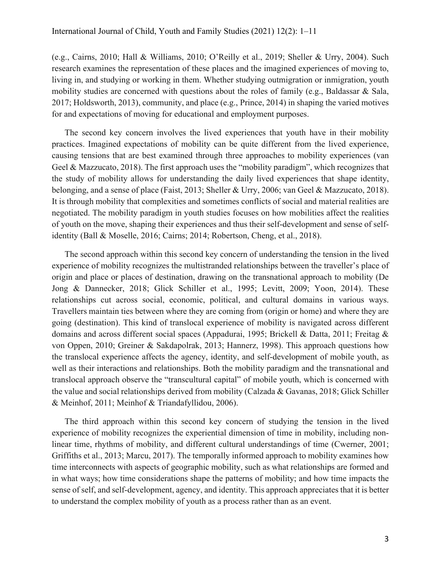(e.g., Cairns, 2010; Hall & Williams, 2010; O'Reilly et al., 2019; Sheller & Urry, 2004). Such research examines the representation of these places and the imagined experiences of moving to, living in, and studying or working in them. Whether studying outmigration or inmigration, youth mobility studies are concerned with questions about the roles of family (e.g., Baldassar & Sala, 2017; Holdsworth, 2013), community, and place (e.g., Prince, 2014) in shaping the varied motives for and expectations of moving for educational and employment purposes.

The second key concern involves the lived experiences that youth have in their mobility practices. Imagined expectations of mobility can be quite different from the lived experience, causing tensions that are best examined through three approaches to mobility experiences (van Geel & Mazzucato, 2018). The first approach uses the "mobility paradigm", which recognizes that the study of mobility allows for understanding the daily lived experiences that shape identity, belonging, and a sense of place (Faist, 2013; Sheller & Urry, 2006; van Geel & Mazzucato, 2018). It is through mobility that complexities and sometimes conflicts of social and material realities are negotiated. The mobility paradigm in youth studies focuses on how mobilities affect the realities of youth on the move, shaping their experiences and thus their self-development and sense of selfidentity (Ball & Moselle, 2016; Cairns; 2014; Robertson, Cheng, et al., 2018).

The second approach within this second key concern of understanding the tension in the lived experience of mobility recognizes the multistranded relationships between the traveller's place of origin and place or places of destination, drawing on the transnational approach to mobility (De Jong & Dannecker, 2018; Glick Schiller et al., 1995; Levitt, 2009; Yoon, 2014). These relationships cut across social, economic, political, and cultural domains in various ways. Travellers maintain ties between where they are coming from (origin or home) and where they are going (destination). This kind of translocal experience of mobility is navigated across different domains and across different social spaces (Appadurai, 1995; Brickell & Datta, 2011; Freitag & von Oppen, 2010; Greiner & Sakdapolrak, 2013; Hannerz, 1998). This approach questions how the translocal experience affects the agency, identity, and self-development of mobile youth, as well as their interactions and relationships. Both the mobility paradigm and the transnational and translocal approach observe the "transcultural capital" of mobile youth, which is concerned with the value and social relationships derived from mobility (Calzada & Gavanas, 2018; Glick Schiller & Meinhof, 2011; Meinhof & Triandafyllidou, 2006).

The third approach within this second key concern of studying the tension in the lived experience of mobility recognizes the experiential dimension of time in mobility, including nonlinear time, rhythms of mobility, and different cultural understandings of time (Cwerner, 2001; Griffiths et al., 2013; Marcu, 2017). The temporally informed approach to mobility examines how time interconnects with aspects of geographic mobility, such as what relationships are formed and in what ways; how time considerations shape the patterns of mobility; and how time impacts the sense of self, and self-development, agency, and identity. This approach appreciates that it is better to understand the complex mobility of youth as a process rather than as an event.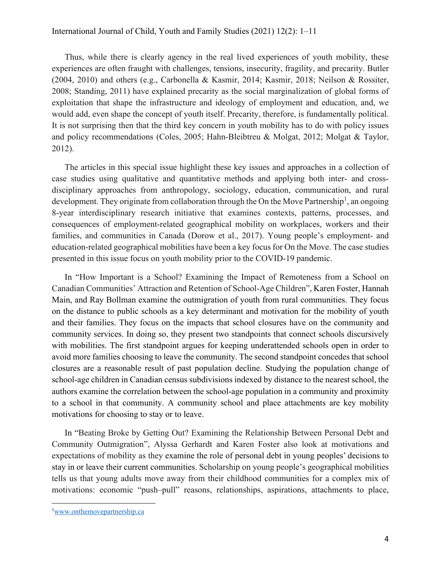Thus, while there is clearly agency in the real lived experiences of youth mobility, these experiences are often fraught with challenges, tensions, insecurity, fragility, and precarity. Butler (2004, 2010) and others (e.g., Carbonella & Kasmir, 2014; Kasmir, 2018; Neilson & Rossiter, 2008; Standing, 2011) have explained precarity as the social marginalization of global forms of exploitation that shape the infrastructure and ideology of employment and education, and, we would add, even shape the concept of youth itself. Precarity, therefore, is fundamentally political. It is not surprising then that the third key concern in youth mobility has to do with policy issues and policy recommendations (Coles, 2005; Hahn-Bleibtreu & Molgat, 2012; Molgat & Taylor, 2012).

The articles in this special issue highlight these key issues and approaches in a collection of case studies using qualitative and quantitative methods and applying both inter- and crossdisciplinary approaches from anthropology, sociology, education, communication, and rural development. They originate from collaboration through the On the Move Partnership<sup>1</sup>, an ongoing 8-year interdisciplinary research initiative that examines contexts, patterns, processes, and consequences of employment-related geographical mobility on workplaces, workers and their families, and communities in Canada (Dorow et al., 2017). Young people's employment- and education-related geographical mobilities have been a key focus for On the Move. The case studies presented in this issue focus on youth mobility prior to the COVID-19 pandemic.

In "How Important is a School? Examining the Impact of Remoteness from a School on Canadian Communities' Attraction and Retention of School-Age Children", Karen Foster, Hannah Main, and Ray Bollman examine the outmigration of youth from rural communities. They focus on the distance to public schools as a key determinant and motivation for the mobility of youth and their families. They focus on the impacts that school closures have on the community and community services. In doing so, they present two standpoints that connect schools discursively with mobilities. The first standpoint argues for keeping underattended schools open in order to avoid more families choosing to leave the community. The second standpoint concedes that school closures are a reasonable result of past population decline. Studying the population change of school-age children in Canadian census subdivisions indexed by distance to the nearest school, the authors examine the correlation between the school-age population in a community and proximity to a school in that community. A community school and place attachments are key mobility motivations for choosing to stay or to leave.

In "Beating Broke by Getting Out? Examining the Relationship Between Personal Debt and Community Outmigration", Alyssa Gerhardt and Karen Foster also look at motivations and expectations of mobility as they examine the role of personal debt in young peoples' decisions to stay in or leave their current communities. Scholarship on young people's geographical mobilities tells us that young adults move away from their childhood communities for a complex mix of motivations: economic "push–pull" reasons, relationships, aspirations, attachments to place,

<sup>&</sup>lt;sup>1</sup>www.onthemovepartnership.ca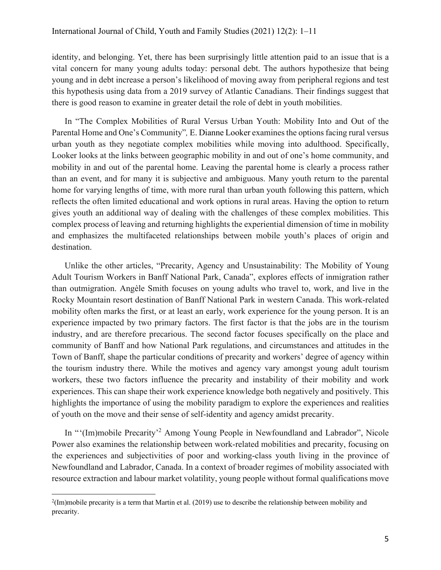identity, and belonging. Yet, there has been surprisingly little attention paid to an issue that is a vital concern for many young adults today: personal debt. The authors hypothesize that being young and in debt increase a person's likelihood of moving away from peripheral regions and test this hypothesis using data from a 2019 survey of Atlantic Canadians. Their findings suggest that there is good reason to examine in greater detail the role of debt in youth mobilities.

In "The Complex Mobilities of Rural Versus Urban Youth: Mobility Into and Out of the Parental Home and One's Community"*,* E. Dianne Looker examines the options facing rural versus urban youth as they negotiate complex mobilities while moving into adulthood. Specifically, Looker looks at the links between geographic mobility in and out of one's home community, and mobility in and out of the parental home. Leaving the parental home is clearly a process rather than an event, and for many it is subjective and ambiguous. Many youth return to the parental home for varying lengths of time, with more rural than urban youth following this pattern, which reflects the often limited educational and work options in rural areas. Having the option to return gives youth an additional way of dealing with the challenges of these complex mobilities. This complex process of leaving and returning highlights the experiential dimension of time in mobility and emphasizes the multifaceted relationships between mobile youth's places of origin and destination.

Unlike the other articles, "Precarity, Agency and Unsustainability: The Mobility of Young Adult Tourism Workers in Banff National Park, Canada", explores effects of inmigration rather than outmigration. Angèle Smith focuses on young adults who travel to, work, and live in the Rocky Mountain resort destination of Banff National Park in western Canada. This work-related mobility often marks the first, or at least an early, work experience for the young person. It is an experience impacted by two primary factors. The first factor is that the jobs are in the tourism industry, and are therefore precarious. The second factor focuses specifically on the place and community of Banff and how National Park regulations, and circumstances and attitudes in the Town of Banff, shape the particular conditions of precarity and workers' degree of agency within the tourism industry there. While the motives and agency vary amongst young adult tourism workers, these two factors influence the precarity and instability of their mobility and work experiences. This can shape their work experience knowledge both negatively and positively. This highlights the importance of using the mobility paradigm to explore the experiences and realities of youth on the move and their sense of self-identity and agency amidst precarity.

In "'(Im)mobile Precarity'<sup>2</sup> Among Young People in Newfoundland and Labrador", Nicole Power also examines the relationship between work-related mobilities and precarity, focusing on the experiences and subjectivities of poor and working-class youth living in the province of Newfoundland and Labrador, Canada. In a context of broader regimes of mobility associated with resource extraction and labour market volatility, young people without formal qualifications move

<sup>2</sup> (Im)mobile precarity is a term that Martin et al. (2019) use to describe the relationship between mobility and precarity.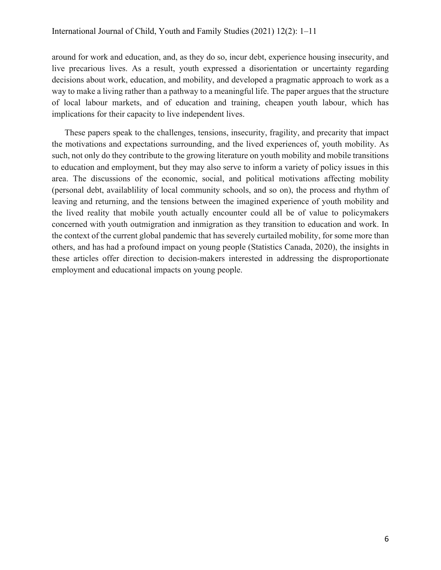around for work and education, and, as they do so, incur debt, experience housing insecurity, and live precarious lives. As a result, youth expressed a disorientation or uncertainty regarding decisions about work, education, and mobility, and developed a pragmatic approach to work as a way to make a living rather than a pathway to a meaningful life. The paper argues that the structure of local labour markets, and of education and training, cheapen youth labour, which has implications for their capacity to live independent lives.

These papers speak to the challenges, tensions, insecurity, fragility, and precarity that impact the motivations and expectations surrounding, and the lived experiences of, youth mobility. As such, not only do they contribute to the growing literature on youth mobility and mobile transitions to education and employment, but they may also serve to inform a variety of policy issues in this area. The discussions of the economic, social, and political motivations affecting mobility (personal debt, availablility of local community schools, and so on), the process and rhythm of leaving and returning, and the tensions between the imagined experience of youth mobility and the lived reality that mobile youth actually encounter could all be of value to policymakers concerned with youth outmigration and inmigration as they transition to education and work. In the context of the current global pandemic that has severely curtailed mobility, for some more than others, and has had a profound impact on young people (Statistics Canada, 2020), the insights in these articles offer direction to decision-makers interested in addressing the disproportionate employment and educational impacts on young people.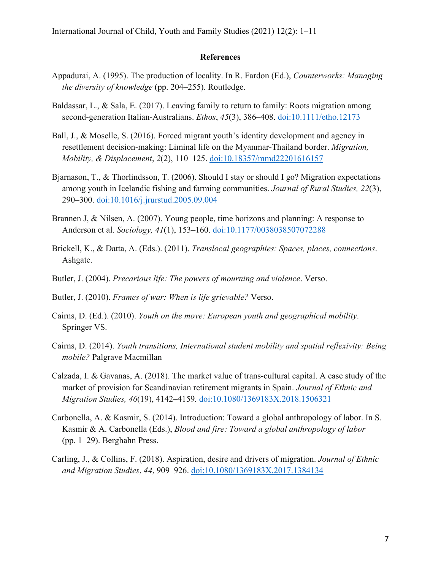## **References**

- Appadurai, A. (1995). The production of locality. In R. Fardon (Ed.), *Counterworks: Managing the diversity of knowledge* (pp. 204–255). Routledge.
- Baldassar, L., & Sala, E. (2017). Leaving family to return to family: Roots migration among second-generation Italian-Australians. *Ethos*, *45*(3), 386–408. doi:10.1111/etho.12173
- Ball, J., & Moselle, S. (2016). Forced migrant youth's identity development and agency in resettlement decision-making: Liminal life on the Myanmar-Thailand border. *Migration, Mobility, & Displacement*, *2*(2), 110–125. doi:10.18357/mmd22201616157
- Bjarnason, T., & Thorlindsson, T. (2006). Should I stay or should I go? Migration expectations among youth in Icelandic fishing and farming communities. *Journal of Rural Studies, 22*(3), 290–300. doi:10.1016/j.jrurstud.2005.09.004
- Brannen J, & Nilsen, A. (2007). Young people, time horizons and planning: A response to Anderson et al. *Sociology, 41*(1), 153–160. doi:10.1177/0038038507072288
- Brickell, K., & Datta, A. (Eds.). (2011). *Translocal geographies: Spaces, places, connections*. Ashgate.
- Butler, J. (2004). *Precarious life: The powers of mourning and violence*. Verso.
- Butler, J. (2010). *Frames of war: When is life grievable?* Verso.
- Cairns, D. (Ed.). (2010). *Youth on the move: European youth and geographical mobility*. Springer VS.
- Cairns, D. (2014). *Youth transitions, International student mobility and spatial reflexivity: Being mobile?* Palgrave Macmillan
- Calzada, I. & Gavanas, A. (2018). The market value of trans-cultural capital. A case study of the market of provision for Scandinavian retirement migrants in Spain. *Journal of Ethnic and Migration Studies, 46*(19), 4142–4159*.* doi:10.1080/1369183X.2018.1506321
- Carbonella, A. & Kasmir, S. (2014). Introduction: Toward a global anthropology of labor. In S. Kasmir & A. Carbonella (Eds.), *Blood and fire: Toward a global anthropology of labor* (pp. 1–29). Berghahn Press.
- Carling, J., & Collins, F. (2018). Aspiration, desire and drivers of migration. *Journal of Ethnic and Migration Studies*, *44*, 909–926. doi:10.1080/1369183X.2017.1384134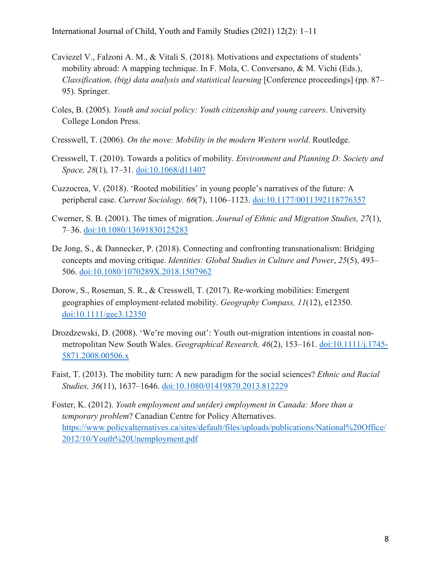- Caviezel V., Falzoni A. M., & Vitali S. (2018). Motivations and expectations of students' mobility abroad: A mapping technique. In F. Mola, C. Conversano, & M. Vichi (Eds.), *Classification, (big) data analysis and statistical learning* [Conference proceedings] (pp. 87– 95). Springer.
- Coles, B. (2005). *Youth and social policy: Youth citizenship and young careers*. University College London Press.
- Cresswell, T. (2006). *On the move: Mobility in the modern Western world*. Routledge.
- Cresswell, T. (2010). Towards a politics of mobility. *Environment and Planning D: Society and Space, 28*(1), 17–31. doi:10.1068/d11407
- Cuzzocrea, V. (2018). 'Rooted mobilities' in young people's narratives of the future: A peripheral case. *Current Sociology. 66*(7), 1106–1123. doi:10.1177/0011392118776357
- Cwerner, S. B. (2001). The times of migration. *Journal of Ethnic and Migration Studies, 27*(1), 7–36. doi:10.1080/13691830125283
- De Jong, S., & Dannecker, P. (2018). Connecting and confronting transnationalism: Bridging concepts and moving critique. *Identities: Global Studies in Culture and Power*, *25*(5), 493– 506. doi:10.1080/1070289X.2018.1507962
- Dorow, S., Roseman, S. R., & Cresswell, T. (2017). Re‐working mobilities: Emergent geographies of employment‐related mobility. *Geography Compass, 11*(12), e12350. doi:10.1111/gec3.12350
- Drozdzewski, D. (2008). 'We're moving out': Youth out-migration intentions in coastal nonmetropolitan New South Wales. *Geographical Research, 46*(2), 153–161. doi:10.1111/j.1745- 5871.2008.00506.x
- Faist, T. (2013). The mobility turn: A new paradigm for the social sciences? *Ethnic and Racial Studies, 36*(11), 1637–1646. doi:10.1080/01419870.2013.812229
- Foster, K. (2012). *Youth employment and un(der) employment in Canada: More than a temporary problem*? Canadian Centre for Policy Alternatives. https://www.policyalternatives.ca/sites/default/files/uploads/publications/National%20Office/ 2012/10/Youth%20Unemployment.pdf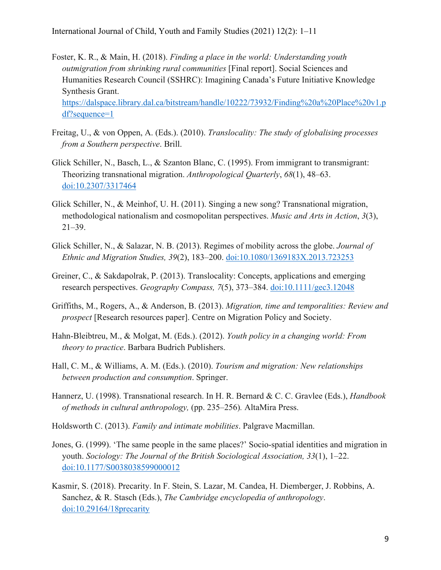- Foster, K. R., & Main, H. (2018). *Finding a place in the world: Understanding youth outmigration from shrinking rural communities* [Final report]. Social Sciences and Humanities Research Council (SSHRC): Imagining Canada's Future Initiative Knowledge Synthesis Grant. https://dalspace.library.dal.ca/bitstream/handle/10222/73932/Finding%20a%20Place%20v1.p df?sequence=1
- Freitag, U., & von Oppen, A. (Eds.). (2010). *Translocality: The study of globalising processes from a Southern perspective*. Brill.
- Glick Schiller, N., Basch, L., & Szanton Blanc, C. (1995). From immigrant to transmigrant: Theorizing transnational migration. *Anthropological Quarterly*, *68*(1), 48–63. doi:10.2307/3317464
- Glick Schiller, N., & Meinhof, U. H. (2011). Singing a new song? Transnational migration, methodological nationalism and cosmopolitan perspectives. *Music and Arts in Action*, *3*(3), 21–39.
- Glick Schiller, N., & Salazar, N. B. (2013). Regimes of mobility across the globe. *Journal of Ethnic and Migration Studies, 39*(2), 183–200. doi:10.1080/1369183X.2013.723253
- Greiner, C., & Sakdapolrak, P. (2013). Translocality: Concepts, applications and emerging research perspectives. *Geography Compass, 7*(5), 373–384. doi:10.1111/gec3.12048
- Griffiths, M., Rogers, A., & Anderson, B. (2013). *Migration, time and temporalities: Review and prospect* [Research resources paper]. Centre on Migration Policy and Society.
- Hahn-Bleibtreu, M., & Molgat, M. (Eds.). (2012). *Youth policy in a changing world: From theory to practice*. Barbara Budrich Publishers.
- Hall, C. M., & Williams, A. M. (Eds.). (2010). *Tourism and migration: New relationships between production and consumption*. Springer.
- Hannerz, U. (1998). Transnational research. In H. R. Bernard & C. C. Gravlee (Eds.), *Handbook of methods in cultural anthropology,* (pp. 235–256)*.* AltaMira Press.
- Holdsworth C. (2013). *Family and intimate mobilities*. Palgrave Macmillan.
- Jones, G. (1999). 'The same people in the same places?' Socio-spatial identities and migration in youth. *Sociology: The Journal of the British Sociological Association, 33*(1), 1–22. doi:10.1177/S0038038599000012
- Kasmir, S. (2018). Precarity. In F. Stein, S. Lazar, M. Candea, H. Diemberger, J. Robbins, A. Sanchez, & R. Stasch (Eds.), *The Cambridge encyclopedia of anthropology*. doi:10.29164/18precarity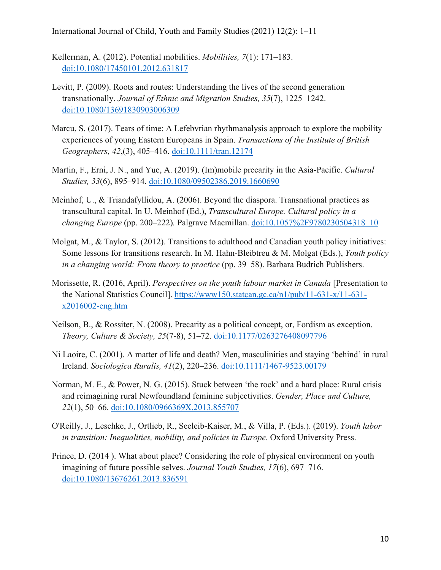International Journal of Child, Youth and Family Studies (2021) 12(2): 1–11

Kellerman, A. (2012). Potential mobilities. *Mobilities, 7*(1): 171–183. doi:10.1080/17450101.2012.631817

- Levitt, P. (2009). Roots and routes: Understanding the lives of the second generation transnationally. *Journal of Ethnic and Migration Studies, 35*(7), 1225–1242. doi:10.1080/13691830903006309
- Marcu, S. (2017). Tears of time: A Lefebvrian rhythmanalysis approach to explore the mobility experiences of young Eastern Europeans in Spain. *Transactions of the Institute of British Geographers, 42*,(3), 405–416. doi:10.1111/tran.12174
- Martin, F., Erni, J. N., and Yue, A. (2019). (Im)mobile precarity in the Asia-Pacific. *Cultural Studies, 33*(6), 895–914. doi:10.1080/09502386.2019.1660690
- Meinhof, U., & Triandafyllidou, A. (2006). Beyond the diaspora. Transnational practices as transcultural capital. In U. Meinhof (Ed.), *Transcultural Europe. Cultural policy in a changing Europe* (pp. 200–222)*.* Palgrave Macmillan. doi:10.1057%2F9780230504318\_10
- Molgat, M., & Taylor, S. (2012). Transitions to adulthood and Canadian youth policy initiatives: Some lessons for transitions research. In M. Hahn-Bleibtreu & M. Molgat (Eds.), *Youth policy in a changing world: From theory to practice* (pp. 39–58). Barbara Budrich Publishers.
- Morissette, R. (2016, April). *Perspectives on the youth labour market in Canada* [Presentation to the National Statistics Council]. https://www150.statcan.gc.ca/n1/pub/11-631-x/11-631 x2016002-eng.htm
- Neilson, B., & Rossiter, N. (2008). Precarity as a political concept, or, Fordism as exception. *Theory, Culture & Society, 25*(7-8), 51–72. doi:10.1177/0263276408097796
- Ní Laoire, C. (2001). A matter of life and death? Men, masculinities and staying 'behind' in rural Ireland*. Sociologica Ruralis, 41*(2), 220–236. doi:10.1111/1467-9523.00179
- Norman, M. E., & Power, N. G. (2015). Stuck between 'the rock' and a hard place: Rural crisis and reimagining rural Newfoundland feminine subjectivities. *Gender, Place and Culture, 22*(1), 50–66. doi:10.1080/0966369X.2013.855707
- O'Reilly, J., Leschke, J., Ortlieb, R., Seeleib-Kaiser, M., & Villa, P. (Eds.). (2019). *Youth labor in transition: Inequalities, mobility, and policies in Europe*. Oxford University Press.
- Prince, D. (2014 ). What about place? Considering the role of physical environment on youth imagining of future possible selves. *Journal Youth Studies, 17*(6), 697–716. doi:10.1080/13676261.2013.836591